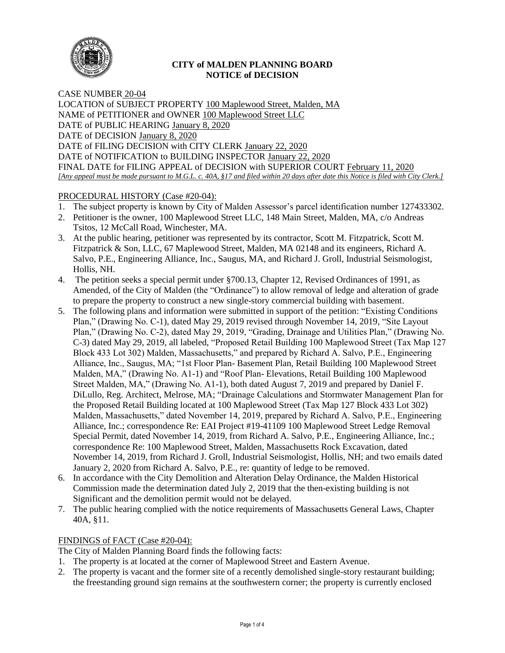

## **CITY of MALDEN PLANNING BOARD NOTICE of DECISION**

CASE NUMBER 20-04 LOCATION of SUBJECT PROPERTY 100 Maplewood Street, Malden, MA NAME of PETITIONER and OWNER 100 Maplewood Street LLC DATE of PUBLIC HEARING January 8, 2020 DATE of DECISION January 8, 2020 DATE of FILING DECISION with CITY CLERK January 22, 2020 DATE of NOTIFICATION to BUILDING INSPECTOR January 22, 2020 FINAL DATE for FILING APPEAL of DECISION with SUPERIOR COURT February 11, 2020 *[Any appeal must be made pursuant to M.G.L. c. 40A, §17 and filed within 20 days after date this Notice is filed with City Clerk.]* 

# PROCEDURAL HISTORY (Case #20-04):

- 1. The subject property is known by City of Malden Assessor's parcel identification number 127433302.
- 2. Petitioner is the owner, 100 Maplewood Street LLC, 148 Main Street, Malden, MA, c/o Andreas Tsitos, 12 McCall Road, Winchester, MA.
- 3. At the public hearing, petitioner was represented by its contractor, Scott M. Fitzpatrick, Scott M. Fitzpatrick & Son, LLC, 67 Maplewood Street, Malden, MA 02148 and its engineers, Richard A. Salvo, P.E., Engineering Alliance, Inc., Saugus, MA, and Richard J. Groll, Industrial Seismologist, Hollis, NH.
- 4. The petition seeks a special permit under §700.13, Chapter 12, Revised Ordinances of 1991, as Amended, of the City of Malden (the "Ordinance") to allow removal of ledge and alteration of grade to prepare the property to construct a new single-story commercial building with basement.
- 5. The following plans and information were submitted in support of the petition: "Existing Conditions Plan," (Drawing No. C-1), dated May 29, 2019 revised through November 14, 2019, "Site Layout Plan," (Drawing No. C-2), dated May 29, 2019, "Grading, Drainage and Utilities Plan," (Drawing No. C-3) dated May 29, 2019, all labeled, "Proposed Retail Building 100 Maplewood Street (Tax Map 127 Block 433 Lot 302) Malden, Massachusetts," and prepared by Richard A. Salvo, P.E., Engineering Alliance, Inc., Saugus, MA; "1st Floor Plan- Basement Plan, Retail Building 100 Maplewood Street Malden, MA," (Drawing No. A1-1) and "Roof Plan- Elevations, Retail Building 100 Maplewood Street Malden, MA," (Drawing No. A1-1), both dated August 7, 2019 and prepared by Daniel F. DiLullo, Reg. Architect, Melrose, MA; "Drainage Calculations and Stormwater Management Plan for the Proposed Retail Building located at 100 Maplewood Street (Tax Map 127 Block 433 Lot 302) Malden, Massachusetts," dated November 14, 2019, prepared by Richard A. Salvo, P.E., Engineering Alliance, Inc.; correspondence Re: EAI Project #19-41109 100 Maplewood Street Ledge Removal Special Permit, dated November 14, 2019, from Richard A. Salvo, P.E., Engineering Alliance, Inc.; correspondence Re: 100 Maplewood Street, Malden, Massachusetts Rock Excavation, dated November 14, 2019, from Richard J. Groll, Industrial Seismologist, Hollis, NH; and two emails dated January 2, 2020 from Richard A. Salvo, P.E., re: quantity of ledge to be removed.
- 6. In accordance with the City Demolition and Alteration Delay Ordinance, the Malden Historical Commission made the determination dated July 2, 2019 that the then-existing building is not Significant and the demolition permit would not be delayed.
- 7. The public hearing complied with the notice requirements of Massachusetts General Laws, Chapter 40A, §11.

## FINDINGS of FACT (Case #20-04):

The City of Malden Planning Board finds the following facts:

- 1. The property is at located at the corner of Maplewood Street and Eastern Avenue.
- 2. The property is vacant and the former site of a recently demolished single-story restaurant building; the freestanding ground sign remains at the southwestern corner; the property is currently enclosed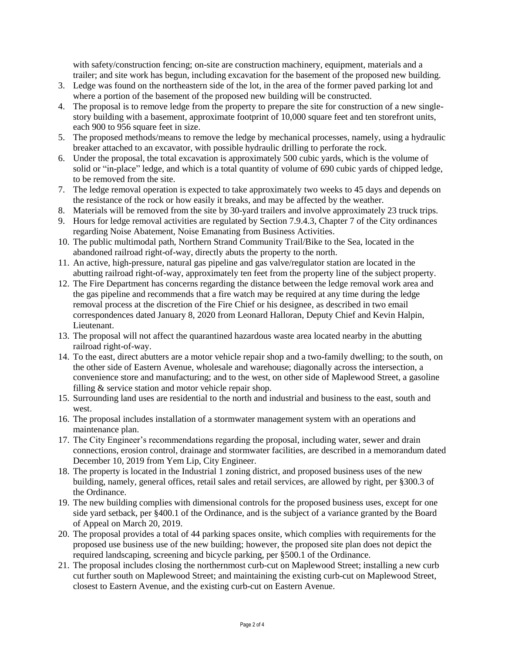with safety/construction fencing; on-site are construction machinery, equipment, materials and a trailer; and site work has begun, including excavation for the basement of the proposed new building.

- 3. Ledge was found on the northeastern side of the lot, in the area of the former paved parking lot and where a portion of the basement of the proposed new building will be constructed.
- 4. The proposal is to remove ledge from the property to prepare the site for construction of a new singlestory building with a basement, approximate footprint of 10,000 square feet and ten storefront units, each 900 to 956 square feet in size.
- 5. The proposed methods/means to remove the ledge by mechanical processes, namely, using a hydraulic breaker attached to an excavator, with possible hydraulic drilling to perforate the rock.
- 6. Under the proposal, the total excavation is approximately 500 cubic yards, which is the volume of solid or "in-place" ledge, and which is a total quantity of volume of 690 cubic yards of chipped ledge, to be removed from the site.
- 7. The ledge removal operation is expected to take approximately two weeks to 45 days and depends on the resistance of the rock or how easily it breaks, and may be affected by the weather.
- 8. Materials will be removed from the site by 30-yard trailers and involve approximately 23 truck trips.
- 9. Hours for ledge removal activities are regulated by Section 7.9.4.3, Chapter 7 of the City ordinances regarding Noise Abatement, Noise Emanating from Business Activities.
- 10. The public multimodal path, Northern Strand Community Trail/Bike to the Sea, located in the abandoned railroad right-of-way, directly abuts the property to the north.
- 11. An active, high-pressure, natural gas pipeline and gas valve/regulator station are located in the abutting railroad right-of-way, approximately ten feet from the property line of the subject property.
- 12. The Fire Department has concerns regarding the distance between the ledge removal work area and the gas pipeline and recommends that a fire watch may be required at any time during the ledge removal process at the discretion of the Fire Chief or his designee, as described in two email correspondences dated January 8, 2020 from Leonard Halloran, Deputy Chief and Kevin Halpin, Lieutenant.
- 13. The proposal will not affect the quarantined hazardous waste area located nearby in the abutting railroad right-of-way.
- 14. To the east, direct abutters are a motor vehicle repair shop and a two-family dwelling; to the south, on the other side of Eastern Avenue, wholesale and warehouse; diagonally across the intersection, a convenience store and manufacturing; and to the west, on other side of Maplewood Street, a gasoline filling & service station and motor vehicle repair shop.
- 15. Surrounding land uses are residential to the north and industrial and business to the east, south and west.
- 16. The proposal includes installation of a stormwater management system with an operations and maintenance plan.
- 17. The City Engineer's recommendations regarding the proposal, including water, sewer and drain connections, erosion control, drainage and stormwater facilities, are described in a memorandum dated December 10, 2019 from Yem Lip, City Engineer.
- 18. The property is located in the Industrial 1 zoning district, and proposed business uses of the new building, namely, general offices, retail sales and retail services, are allowed by right, per §300.3 of the Ordinance.
- 19. The new building complies with dimensional controls for the proposed business uses, except for one side yard setback, per §400.1 of the Ordinance, and is the subject of a variance granted by the Board of Appeal on March 20, 2019.
- 20. The proposal provides a total of 44 parking spaces onsite, which complies with requirements for the proposed use business use of the new building; however, the proposed site plan does not depict the required landscaping, screening and bicycle parking, per §500.1 of the Ordinance.
- 21. The proposal includes closing the northernmost curb-cut on Maplewood Street; installing a new curb cut further south on Maplewood Street; and maintaining the existing curb-cut on Maplewood Street, closest to Eastern Avenue, and the existing curb-cut on Eastern Avenue.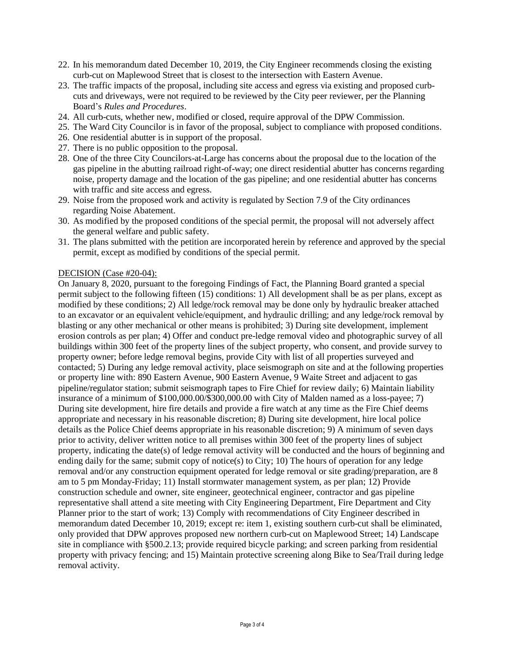- 22. In his memorandum dated December 10, 2019, the City Engineer recommends closing the existing curb-cut on Maplewood Street that is closest to the intersection with Eastern Avenue.
- 23. The traffic impacts of the proposal, including site access and egress via existing and proposed curbcuts and driveways, were not required to be reviewed by the City peer reviewer, per the Planning Board's *Rules and Procedures*.
- 24. All curb-cuts, whether new, modified or closed, require approval of the DPW Commission.
- 25. The Ward City Councilor is in favor of the proposal, subject to compliance with proposed conditions.
- 26. One residential abutter is in support of the proposal.
- 27. There is no public opposition to the proposal.
- 28. One of the three City Councilors-at-Large has concerns about the proposal due to the location of the gas pipeline in the abutting railroad right-of-way; one direct residential abutter has concerns regarding noise, property damage and the location of the gas pipeline; and one residential abutter has concerns with traffic and site access and egress.
- 29. Noise from the proposed work and activity is regulated by Section 7.9 of the City ordinances regarding Noise Abatement.
- 30. As modified by the proposed conditions of the special permit, the proposal will not adversely affect the general welfare and public safety.
- 31. The plans submitted with the petition are incorporated herein by reference and approved by the special permit, except as modified by conditions of the special permit.

#### DECISION (Case #20-04):

On January 8, 2020, pursuant to the foregoing Findings of Fact, the Planning Board granted a special permit subject to the following fifteen (15) conditions: 1) All development shall be as per plans, except as modified by these conditions; 2) All ledge/rock removal may be done only by hydraulic breaker attached to an excavator or an equivalent vehicle/equipment, and hydraulic drilling; and any ledge/rock removal by blasting or any other mechanical or other means is prohibited; 3) During site development, implement erosion controls as per plan; 4) Offer and conduct pre-ledge removal video and photographic survey of all buildings within 300 feet of the property lines of the subject property, who consent, and provide survey to property owner; before ledge removal begins, provide City with list of all properties surveyed and contacted; 5) During any ledge removal activity, place seismograph on site and at the following properties or property line with: 890 Eastern Avenue, 900 Eastern Avenue, 9 Waite Street and adjacent to gas pipeline/regulator station; submit seismograph tapes to Fire Chief for review daily; 6) Maintain liability insurance of a minimum of \$100,000.00/\$300,000.00 with City of Malden named as a loss-payee; 7) During site development, hire fire details and provide a fire watch at any time as the Fire Chief deems appropriate and necessary in his reasonable discretion; 8) During site development, hire local police details as the Police Chief deems appropriate in his reasonable discretion; 9) A minimum of seven days prior to activity, deliver written notice to all premises within 300 feet of the property lines of subject property, indicating the date(s) of ledge removal activity will be conducted and the hours of beginning and ending daily for the same; submit copy of notice(s) to City; 10) The hours of operation for any ledge removal and/or any construction equipment operated for ledge removal or site grading/preparation, are 8 am to 5 pm Monday-Friday; 11) Install stormwater management system, as per plan; 12) Provide construction schedule and owner, site engineer, geotechnical engineer, contractor and gas pipeline representative shall attend a site meeting with City Engineering Department, Fire Department and City Planner prior to the start of work; 13) Comply with recommendations of City Engineer described in memorandum dated December 10, 2019; except re: item 1, existing southern curb-cut shall be eliminated, only provided that DPW approves proposed new northern curb-cut on Maplewood Street; 14) Landscape site in compliance with §500.2.13; provide required bicycle parking; and screen parking from residential property with privacy fencing; and 15) Maintain protective screening along Bike to Sea/Trail during ledge removal activity.